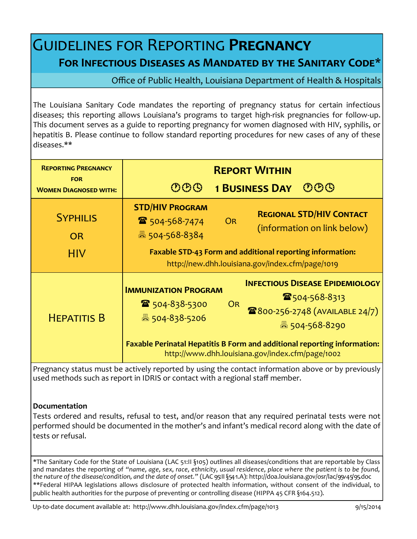## Guidelines for Reporting **Pregnancy For Infectious Diseases as Mandated by the Sanitary Code\***

Office of Public Health, Louisiana Department of Health & Hospitals

The Louisiana Sanitary Code mandates the reporting of pregnancy status for certain infectious diseases; this reporting allows Louisiana's programs to target high-risk pregnancies for follow-up. This document serves as a guide to reporting pregnancy for women diagnosed with HIV, syphilis, or hepatitis B. Please continue to follow standard reporting procedures for new cases of any of these diseases.\*\*

| <b>REPORTING PREGNANCY</b><br><b>FOR</b><br><b>WOMEN DIAGNOSED WITH:</b> | <b>REPORT WITHIN</b><br>$\mathfrak{CD} \mathfrak{S}$<br>$\mathfrak{B} \mathfrak{B} \mathfrak{B}$<br><b>1 BUSINESS DAY</b>           |                                                                                                                                                |
|--------------------------------------------------------------------------|-------------------------------------------------------------------------------------------------------------------------------------|------------------------------------------------------------------------------------------------------------------------------------------------|
| <b>SYPHILIS</b><br><b>OR</b>                                             | <b>STD/HIV PROGRAM</b><br>$\mathbf{\hat{a}}$ 504-568-7474<br>昌 504-568-8384                                                         | <b>REGIONAL STD/HIV CONTACT</b><br>OR<br>(information on link below)                                                                           |
| <b>HIV</b>                                                               | <b>Faxable STD-43 Form and additional reporting information:</b><br>http://new.dhh.louisiana.gov/index.cfm/page/1019                |                                                                                                                                                |
| <b>HEPATITIS B</b>                                                       | <b>IMMUNIZATION PROGRAM</b><br>■ 504-838-5300<br>圖 504-838-5206                                                                     | <b>INFECTIOUS DISEASE EPIDEMIOLOGY</b><br>$\mathbf{\mathcal{F}}$ 504-568-8313<br><b>OR</b><br>2800-256-2748 (AVAILABLE 24/7)<br>圖 504-568-8290 |
|                                                                          | <b>Faxable Perinatal Hepatitis B Form and additional reporting information:</b><br>http://www.dhh.louisiana.gov/index.cfm/page/1002 |                                                                                                                                                |

Pregnancy status must be actively reported by using the contact information above or by previously used methods such as report in IDRIS or contact with a regional staff member.

## **Documentation**

Tests ordered and results, refusal to test, and/or reason that any required perinatal tests were not performed should be documented in the mother's and infant's medical record along with the date of tests or refusal.

\*The Sanitary Code for the State of Louisiana (LAC 51:II §105) outlines all diseases/conditions that are reportable by Class and mandates the reporting of *"name, age, sex, race, ethnicity, usual residence, place where the patient is to be found, the nature of the disease/condition, and the date of onset."* (LAC 95:II §547.A): http://doa.louisiana.gov/osr/lac/95v45/95.doc \*\*Federal HIPAA legislations allows disclosure of protected health information, without consent of the individual, to public health authorities for the purpose of preventing or controlling disease (HIPPA 45 CFR §164.512).

Up-to-date document available at: http://www.dhh.louisiana.gov/index.cfm/page/1013 9/15/2014